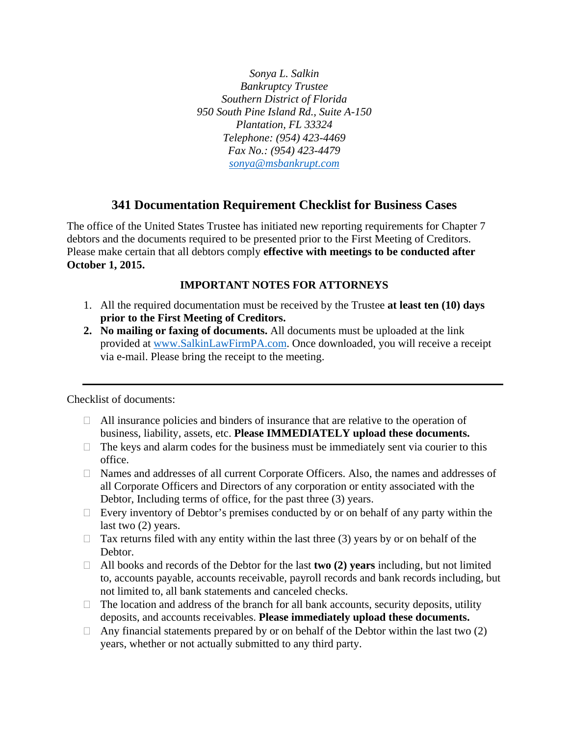*Sonya L. Salkin Bankruptcy Trustee Southern District of Florida 950 South Pine Island Rd., Suite A-150 Plantation, FL 33324 Telephone: (954) 423-4469 Fax No.: (954) 423-4479 sonya@msbankrupt.com*

## **341 Documentation Requirement Checklist for Business Cases**

The office of the United States Trustee has initiated new reporting requirements for Chapter 7 debtors and the documents required to be presented prior to the First Meeting of Creditors. Please make certain that all debtors comply **effective with meetings to be conducted after October 1, 2015.** 

## **IMPORTANT NOTES FOR ATTORNEYS**

- 1. All the required documentation must be received by the Trustee **at least ten (10) days prior to the First Meeting of Creditors.**
- **2. No mailing or faxing of documents.** All documents must be uploaded at the link provided at www.SalkinLawFirmPA.com. Once downloaded, you will receive a receipt via e-mail. Please bring the receipt to the meeting.

Checklist of documents:

- $\Box$  All insurance policies and binders of insurance that are relative to the operation of business, liability, assets, etc. **Please IMMEDIATELY upload these documents.**
- $\Box$  The keys and alarm codes for the business must be immediately sent via courier to this office.
- Names and addresses of all current Corporate Officers. Also, the names and addresses of all Corporate Officers and Directors of any corporation or entity associated with the Debtor, Including terms of office, for the past three (3) years.
- $\Box$  Every inventory of Debtor's premises conducted by or on behalf of any party within the last two (2) years.
- $\Box$  Tax returns filed with any entity within the last three (3) years by or on behalf of the Debtor.
- All books and records of the Debtor for the last **two (2) years** including, but not limited to, accounts payable, accounts receivable, payroll records and bank records including, but not limited to, all bank statements and canceled checks.
- $\Box$  The location and address of the branch for all bank accounts, security deposits, utility deposits, and accounts receivables. **Please immediately upload these documents.**
- $\Box$  Any financial statements prepared by or on behalf of the Debtor within the last two (2) years, whether or not actually submitted to any third party.